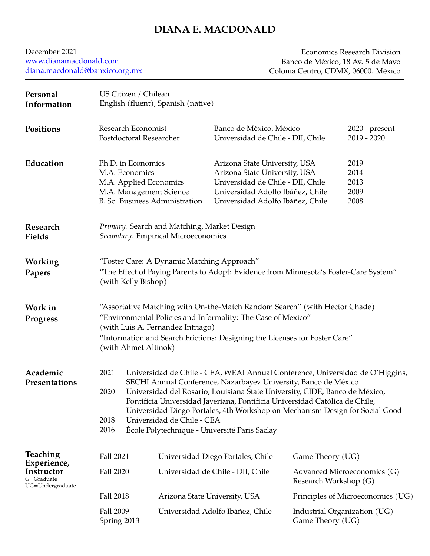## **DIANA E. MACDONALD**

December 2021 [www.dianamacdonald.com](http://www.dianamacdonald.com) [diana.macdonald@banxico.org.mx](mailto:diana.macdonald@banxico.org.mx)

Economics Research Division Banco de Mexico, 18 Av. 5 de Mayo ´ Colonia Centro, CDMX, 06000. Mexico ´

| Personal<br>Information                                                 | US Citizen / Chilean<br>English (fluent), Spanish (native)                                                                                                                                                                                                                            |                                                                                                                                                                                                                                                                                                                                                                                                                                                                               |                                                                                                                                                                             |                       |                                      |  |
|-------------------------------------------------------------------------|---------------------------------------------------------------------------------------------------------------------------------------------------------------------------------------------------------------------------------------------------------------------------------------|-------------------------------------------------------------------------------------------------------------------------------------------------------------------------------------------------------------------------------------------------------------------------------------------------------------------------------------------------------------------------------------------------------------------------------------------------------------------------------|-----------------------------------------------------------------------------------------------------------------------------------------------------------------------------|-----------------------|--------------------------------------|--|
| <b>Positions</b>                                                        | Research Economist<br>Postdoctoral Researcher                                                                                                                                                                                                                                         |                                                                                                                                                                                                                                                                                                                                                                                                                                                                               | Banco de México, México<br>Universidad de Chile - DII, Chile                                                                                                                |                       | $2020$ - present<br>$2019 - 2020$    |  |
| Education                                                               | Ph.D. in Economics<br>M.A. Economics<br>M.A. Applied Economics<br>M.A. Management Science                                                                                                                                                                                             | B. Sc. Business Administration                                                                                                                                                                                                                                                                                                                                                                                                                                                | Arizona State University, USA<br>Arizona State University, USA<br>Universidad de Chile - DII, Chile<br>Universidad Adolfo Ibáñez, Chile<br>Universidad Adolfo Ibáñez, Chile |                       | 2019<br>2014<br>2013<br>2009<br>2008 |  |
| Research<br>Fields                                                      | Primary. Search and Matching, Market Design<br>Secondary. Empirical Microeconomics                                                                                                                                                                                                    |                                                                                                                                                                                                                                                                                                                                                                                                                                                                               |                                                                                                                                                                             |                       |                                      |  |
| Working<br><b>Papers</b>                                                | "Foster Care: A Dynamic Matching Approach"<br>"The Effect of Paying Parents to Adopt: Evidence from Minnesota's Foster-Care System"<br>(with Kelly Bishop)                                                                                                                            |                                                                                                                                                                                                                                                                                                                                                                                                                                                                               |                                                                                                                                                                             |                       |                                      |  |
| Work in<br><b>Progress</b>                                              | "Assortative Matching with On-the-Match Random Search" (with Hector Chade)<br>"Environmental Policies and Informality: The Case of Mexico"<br>(with Luis A. Fernandez Intriago)<br>"Information and Search Frictions: Designing the Licenses for Foster Care"<br>(with Ahmet Altinok) |                                                                                                                                                                                                                                                                                                                                                                                                                                                                               |                                                                                                                                                                             |                       |                                      |  |
| Academic<br>Presentations                                               | 2021<br>2020<br>2018<br>2016                                                                                                                                                                                                                                                          | Universidad de Chile - CEA, WEAI Annual Conference, Universidad de O'Higgins,<br>SECHI Annual Conference, Nazarbayev University, Banco de México<br>Universidad del Rosario, Louisiana State University, CIDE, Banco de México,<br>Pontificia Universidad Javeriana, Pontificia Universidad Católica de Chile,<br>Universidad Diego Portales, 4th Workshop on Mechanism Design for Social Good<br>Universidad de Chile - CEA<br>École Polytechnique - Université Paris Saclay |                                                                                                                                                                             |                       |                                      |  |
| Teaching<br>Experience,<br>Instructor<br>G=Graduate<br>UG=Undergraduate | Fall 2021                                                                                                                                                                                                                                                                             |                                                                                                                                                                                                                                                                                                                                                                                                                                                                               | Universidad Diego Portales, Chile                                                                                                                                           | Game Theory (UG)      |                                      |  |
|                                                                         | Fall 2020                                                                                                                                                                                                                                                                             |                                                                                                                                                                                                                                                                                                                                                                                                                                                                               | Universidad de Chile - DII, Chile                                                                                                                                           | Research Workshop (G) | Advanced Microeconomics (G)          |  |
|                                                                         | Fall 2018                                                                                                                                                                                                                                                                             |                                                                                                                                                                                                                                                                                                                                                                                                                                                                               | Arizona State University, USA                                                                                                                                               |                       | Principles of Microeconomics (UG)    |  |
|                                                                         | Fall 2009-<br>Spring 2013                                                                                                                                                                                                                                                             |                                                                                                                                                                                                                                                                                                                                                                                                                                                                               | Universidad Adolfo Ibáñez, Chile                                                                                                                                            | Game Theory (UG)      | Industrial Organization (UG)         |  |